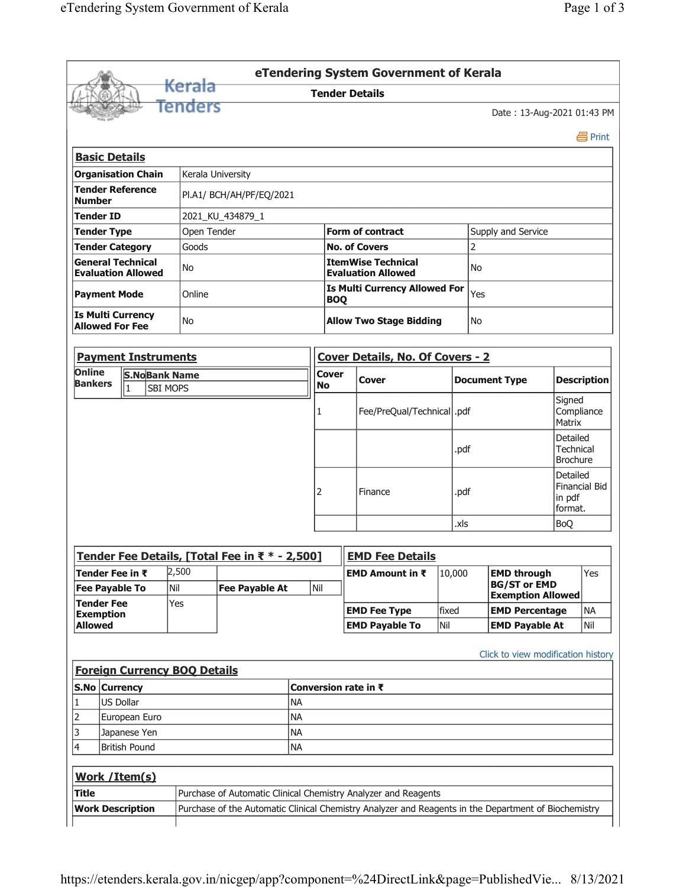|                                                                                                     |                                   |                                     |                                                |           |                         | eTendering System Government of Kerala                         |           |      |                                                                       |                                                       |                    |  |
|-----------------------------------------------------------------------------------------------------|-----------------------------------|-------------------------------------|------------------------------------------------|-----------|-------------------------|----------------------------------------------------------------|-----------|------|-----------------------------------------------------------------------|-------------------------------------------------------|--------------------|--|
|                                                                                                     |                                   | <del>Kerala</del>                   |                                                |           |                         | <b>Tender Details</b>                                          |           |      |                                                                       |                                                       |                    |  |
|                                                                                                     |                                   | Tenders                             |                                                |           |                         |                                                                |           |      | Date: 13-Aug-2021 01:43 PM                                            |                                                       |                    |  |
|                                                                                                     |                                   |                                     |                                                |           |                         |                                                                |           |      |                                                                       |                                                       | 昌 Print            |  |
| <b>Basic Details</b>                                                                                |                                   |                                     |                                                |           |                         |                                                                |           |      |                                                                       |                                                       |                    |  |
|                                                                                                     | <b>Organisation Chain</b>         |                                     | Kerala University                              |           |                         |                                                                |           |      |                                                                       |                                                       |                    |  |
| <b>Tender Reference</b><br>PI.A1/ BCH/AH/PF/EQ/2021<br><b>Number</b>                                |                                   |                                     |                                                |           |                         |                                                                |           |      |                                                                       |                                                       |                    |  |
| <b>Tender ID</b><br>2021 KU 434879 1                                                                |                                   |                                     |                                                |           |                         |                                                                |           |      |                                                                       |                                                       |                    |  |
| Open Tender<br><b>Tender Type</b>                                                                   |                                   |                                     |                                                |           | <b>Form of contract</b> |                                                                |           |      | Supply and Service                                                    |                                                       |                    |  |
| <b>Tender Category</b><br>Goods                                                                     |                                   |                                     |                                                |           | <b>No. of Covers</b>    |                                                                |           |      |                                                                       |                                                       |                    |  |
| <b>General Technical</b>                                                                            | <b>Evaluation Allowed</b>         | No                                  |                                                |           |                         | <b>ItemWise Technical</b><br><b>Evaluation Allowed</b>         | <b>No</b> |      |                                                                       |                                                       |                    |  |
| <b>Payment Mode</b>                                                                                 |                                   | Online                              |                                                |           |                         | <b>Is Multi Currency Allowed For</b><br><b>BOQ</b>             |           |      | Yes                                                                   |                                                       |                    |  |
| <b>Is Multi Currency</b><br><b>Allowed For Fee</b>                                                  |                                   | No                                  |                                                |           |                         | <b>Allow Two Stage Bidding</b>                                 | No        |      |                                                                       |                                                       |                    |  |
|                                                                                                     | <b>Payment Instruments</b>        |                                     |                                                |           |                         | Cover Details, No. Of Covers - 2                               |           |      |                                                                       |                                                       |                    |  |
| Online                                                                                              |                                   |                                     |                                                |           | <b>Cover</b>            |                                                                |           |      |                                                                       |                                                       |                    |  |
| <b>Bankers</b>                                                                                      | <b>S.NoBank Name</b><br>$\vert$ 1 | SBI MOPS                            |                                                |           | <b>No</b>               | Cover                                                          |           |      | <b>Document Type</b>                                                  |                                                       | <b>Description</b> |  |
|                                                                                                     |                                   |                                     |                                                |           | 1                       | Fee/PreQual/Technical  .pdf                                    |           |      |                                                                       | Signed<br>Compliance<br>Matrix                        |                    |  |
|                                                                                                     |                                   |                                     |                                                |           |                         |                                                                |           | .pdf |                                                                       | Detailed<br><b>Technical</b><br><b>Brochure</b>       |                    |  |
|                                                                                                     |                                   |                                     |                                                |           | 2                       | Finance                                                        |           | .pdf |                                                                       | Detailed<br><b>Financial Bid</b><br>in pdf<br>format. |                    |  |
|                                                                                                     |                                   |                                     |                                                |           |                         |                                                                |           | .xls |                                                                       | <b>BoQ</b>                                            |                    |  |
|                                                                                                     |                                   |                                     |                                                |           |                         |                                                                |           |      |                                                                       |                                                       |                    |  |
|                                                                                                     |                                   |                                     |                                                |           |                         | <b>EMD Fee Details</b>                                         |           |      |                                                                       |                                                       |                    |  |
|                                                                                                     |                                   | 2,500                               | Tender Fee Details, [Total Fee in ₹ * - 2,500] |           |                         |                                                                |           |      |                                                                       |                                                       | Yes                |  |
|                                                                                                     |                                   | Nil                                 | <b>Fee Payable At</b>                          |           | Nil                     | EMD Amount in ₹                                                | 10,000    |      | <b>EMD through</b><br><b>BG/ST or EMD</b><br><b>Exemption Allowed</b> |                                                       |                    |  |
|                                                                                                     |                                   | Yes                                 |                                                |           |                         | <b>EMD Fee Type</b>                                            | fixed     |      | <b>EMD Percentage</b>                                                 |                                                       | <b>NA</b>          |  |
|                                                                                                     |                                   |                                     |                                                |           |                         |                                                                |           |      |                                                                       |                                                       |                    |  |
| Tender Fee in ₹<br><b>Fee Payable To</b><br><b>Tender Fee</b><br><b>Exemption</b><br><b>Allowed</b> |                                   | <b>Foreign Currency BOQ Details</b> |                                                |           |                         | <b>EMD Payable To</b>                                          | Nil       |      | <b>EMD Payable At</b><br>Click to view modification history           |                                                       | Nil                |  |
|                                                                                                     |                                   |                                     |                                                |           |                         | Conversion rate in ₹                                           |           |      |                                                                       |                                                       |                    |  |
|                                                                                                     | US Dollar                         |                                     |                                                | <b>NA</b> |                         |                                                                |           |      |                                                                       |                                                       |                    |  |
|                                                                                                     | European Euro                     |                                     |                                                | <b>NA</b> |                         |                                                                |           |      |                                                                       |                                                       |                    |  |
|                                                                                                     | Japanese Yen                      |                                     |                                                | <b>NA</b> |                         |                                                                |           |      |                                                                       |                                                       |                    |  |
|                                                                                                     | <b>British Pound</b>              |                                     |                                                | <b>NA</b> |                         |                                                                |           |      |                                                                       |                                                       |                    |  |
|                                                                                                     |                                   |                                     |                                                |           |                         |                                                                |           |      |                                                                       |                                                       |                    |  |
| S.No Currency<br>1<br>2<br>3<br>4<br>Work / Item(s)<br><b>Title</b>                                 |                                   |                                     |                                                |           |                         | Purchase of Automatic Clinical Chemistry Analyzer and Reagents |           |      |                                                                       |                                                       |                    |  |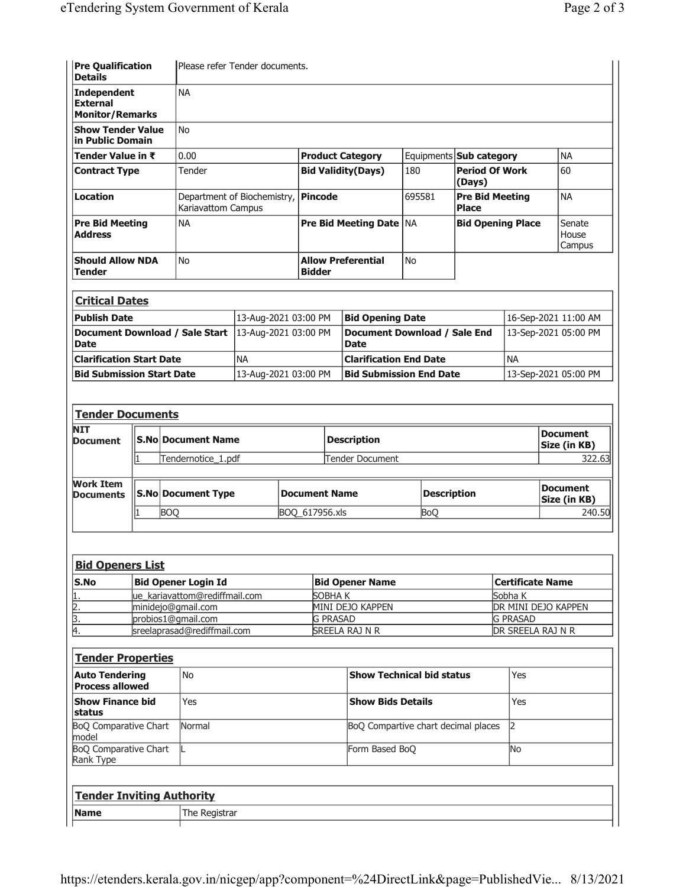| <b>Pre Qualification</b><br><b>Details</b>                      |        |                                                     | Please refer Tender documents.                    |                      |                                                      |                                            |                                  |                                     |                                        |                           |                                    |  |  |
|-----------------------------------------------------------------|--------|-----------------------------------------------------|---------------------------------------------------|----------------------|------------------------------------------------------|--------------------------------------------|----------------------------------|-------------------------------------|----------------------------------------|---------------------------|------------------------------------|--|--|
| <b>Independent</b><br><b>External</b><br><b>Monitor/Remarks</b> |        |                                                     | <b>NA</b>                                         |                      |                                                      |                                            |                                  |                                     |                                        |                           |                                    |  |  |
| <b>Show Tender Value</b>                                        |        |                                                     | <b>No</b>                                         |                      |                                                      |                                            |                                  |                                     |                                        |                           |                                    |  |  |
| in Public Domain<br>Tender Value in ₹                           |        |                                                     | 0.00                                              |                      |                                                      |                                            |                                  |                                     | Equipments <b>Sub category</b>         |                           | <b>NA</b>                          |  |  |
| <b>Contract Type</b>                                            | Tender |                                                     |                                                   |                      | <b>Product Category</b><br><b>Bid Validity(Days)</b> |                                            |                                  | 180                                 | <b>Period Of Work</b><br>(Days)        |                           | 60                                 |  |  |
| <b>Location</b>                                                 |        |                                                     | Department of Biochemistry,<br>Kariavattom Campus |                      |                                                      | <b>Pincode</b>                             |                                  | 695581                              | <b>Pre Bid Meeting</b><br><b>Place</b> |                           | <b>NA</b>                          |  |  |
| <b>Pre Bid Meeting</b><br><b>Address</b>                        |        | <b>NA</b>                                           |                                                   |                      |                                                      | Pre Bid Meeting Date   NA                  |                                  |                                     | <b>Bid Opening Place</b>               | Senate<br>House<br>Campus |                                    |  |  |
| <b>Should Allow NDA</b><br><b>Tender</b>                        |        |                                                     | <b>No</b>                                         |                      |                                                      | <b>Allow Preferential</b><br><b>Bidder</b> |                                  | <b>No</b>                           |                                        |                           |                                    |  |  |
| <b>Critical Dates</b>                                           |        |                                                     |                                                   |                      |                                                      |                                            |                                  |                                     |                                        |                           |                                    |  |  |
| <b>Publish Date</b>                                             |        |                                                     |                                                   | 13-Aug-2021 03:00 PM |                                                      | <b>Bid Opening Date</b>                    |                                  |                                     |                                        |                           | 16-Sep-2021 11:00 AM               |  |  |
| Document Download / Sale Start<br><b>Date</b>                   |        |                                                     | 13-Aug-2021 03:00 PM                              |                      |                                                      | <b>Date</b>                                |                                  | <b>Document Download / Sale End</b> |                                        |                           | 13-Sep-2021 05:00 PM               |  |  |
| <b>Clarification Start Date</b>                                 |        |                                                     |                                                   | <b>NA</b>            |                                                      | <b>Clarification End Date</b>              |                                  |                                     |                                        | <b>NA</b>                 |                                    |  |  |
| <b>Bid Submission Start Date</b>                                |        |                                                     | 13-Aug-2021 03:00 PM                              |                      |                                                      |                                            |                                  | <b>Bid Submission End Date</b>      |                                        |                           | 13-Sep-2021 05:00 PM               |  |  |
|                                                                 |        |                                                     |                                                   |                      |                                                      |                                            |                                  |                                     |                                        |                           |                                    |  |  |
| <b>Tender Documents</b>                                         |        |                                                     |                                                   |                      |                                                      |                                            |                                  |                                     |                                        |                           |                                    |  |  |
| <b>NIT</b><br>Document                                          |        |                                                     | <b>S.No Document Name</b>                         |                      |                                                      | <b>Description</b>                         |                                  |                                     |                                        |                           | <b>Document</b><br>Size (in KB)    |  |  |
|                                                                 | 1      |                                                     | Tendernotice_1.pdf                                |                      |                                                      |                                            | <b>Tender Document</b>           |                                     | 322.63                                 |                           |                                    |  |  |
| <b>Work Item</b><br><b>Documents</b>                            |        |                                                     | <b>S.No Document Type</b>                         |                      |                                                      | <b>Document Name</b>                       |                                  | <b>Description</b>                  |                                        |                           | <b>Document</b><br>Size (in KB)    |  |  |
|                                                                 |        | <b>BOQ</b>                                          |                                                   |                      |                                                      | BOQ_617956.xls                             |                                  | <b>BoQ</b>                          |                                        |                           | 240.50                             |  |  |
|                                                                 |        |                                                     |                                                   |                      |                                                      |                                            |                                  |                                     |                                        |                           |                                    |  |  |
|                                                                 |        |                                                     |                                                   |                      |                                                      |                                            |                                  |                                     |                                        |                           |                                    |  |  |
| <b>Bid Openers List</b>                                         |        |                                                     |                                                   |                      |                                                      |                                            |                                  |                                     |                                        |                           |                                    |  |  |
| S.No                                                            |        |                                                     | <b>Bid Opener Login Id</b>                        |                      |                                                      | <b>Bid Opener Name</b><br>SOBHAK           |                                  |                                     |                                        |                           | <b>Certificate Name</b><br>Sobha K |  |  |
| $\frac{1}{2}$ $\frac{2}{3}$ $\frac{3}{4}$                       |        | ue_kariavattom@rediffmail.com<br>minidejo@gmail.com |                                                   |                      |                                                      |                                            | MINI DEJO KAPPEN                 |                                     | DR MINI DEJO KAPPEN                    |                           |                                    |  |  |
|                                                                 |        | probios1@gmail.com                                  |                                                   |                      |                                                      | <b>G PRASAD</b>                            |                                  |                                     |                                        | <b>G PRASAD</b>           |                                    |  |  |
|                                                                 |        |                                                     | sreelaprasad@rediffmail.com                       |                      |                                                      | SREELA RAJ N R                             |                                  |                                     |                                        |                           | DR SREELA RAJ N R                  |  |  |
| <b>Tender Properties</b>                                        |        |                                                     |                                                   |                      |                                                      |                                            |                                  |                                     |                                        |                           |                                    |  |  |
| <b>No</b><br><b>Auto Tendering</b><br><b>Process allowed</b>    |        |                                                     |                                                   |                      |                                                      |                                            | <b>Show Technical bid status</b> |                                     | Yes                                    |                           |                                    |  |  |
| <b>Show Finance bid</b><br>status                               |        |                                                     | Yes                                               |                      |                                                      |                                            | <b>Show Bids Details</b>         |                                     |                                        | Yes                       |                                    |  |  |
| BoQ Comparative Chart<br>model                                  |        |                                                     | Normal                                            |                      |                                                      | BoQ Compartive chart decimal places        |                                  |                                     |                                        | 2                         |                                    |  |  |
| <b>BoQ Comparative Chart</b><br>Rank Type                       |        |                                                     | IL.                                               |                      |                                                      |                                            | Form Based BoQ                   |                                     |                                        | No                        |                                    |  |  |
| <b>Tender Inviting Authority</b>                                |        |                                                     |                                                   |                      |                                                      |                                            |                                  |                                     |                                        |                           |                                    |  |  |
|                                                                 |        |                                                     |                                                   |                      |                                                      |                                            |                                  |                                     |                                        |                           |                                    |  |  |
| <b>Name</b>                                                     |        |                                                     | The Registrar                                     |                      |                                                      |                                            |                                  |                                     |                                        |                           |                                    |  |  |